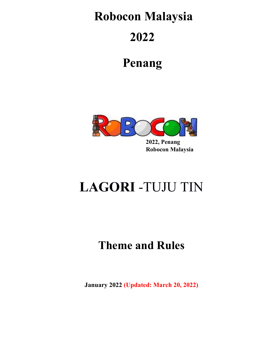# **Robocon Malaysia**

# **2022**

# **Penang**



 **2022, Penang Robocon Malaysia**

# **LAGORI** -TUJU TIN

# **Theme and Rules**

**January 2022 (Updated: March 20, 2022)**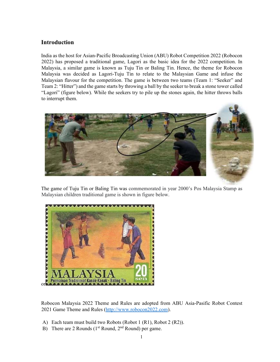## **Introduction**

India as the host for Asian-Pacific Broadcasting Union (ABU) Robot Competition 2022 (Robocon 2022) has proposed a traditional game, Lagori as the basic idea for the 2022 competition. In Malaysia, a similar game is known as Tuju Tin or Baling Tin. Hence, the theme for Robocon Malaysia was decided as Lagori-Tuju Tin to relate to the Malaysian Game and infuse the Malaysian flavour for the competition. The game is between two teams (Team 1: "Seeker" and Team 2: "Hitter") and the game starts by throwing a ball by the seeker to break a stone tower called "Lagori" (figure below). While the seekers try to pile up the stones again, the hitter throws balls to interrupt them.



The game of Tuju Tin or Baling Tin was commemorated in year 2000's Pos Malaysia Stamp as Malaysian children traditional game is shown in figure below.



Robocon Malaysia 2022 Theme and Rules are adopted from ABU Asia-Pasific Robot Contest 2021 Game Theme and Rules (http://www.robocon2022.com).

- A) Each team must build two Robots (Robot 1 (R1), Robot 2 (R2)).
- B) There are 2 Rounds ( $1<sup>st</sup>$  Round,  $2<sup>nd</sup>$  Round) per game.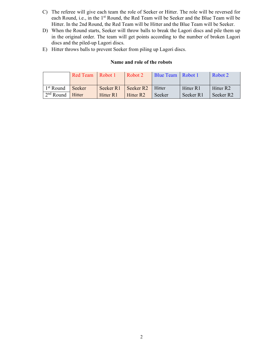- C) The referee will give each team the role of Seeker or Hitter. The role will be reversed for each Round, i.e., in the 1<sup>st</sup> Round, the Red Team will be Seeker and the Blue Team will be Hitter. In the 2nd Round, the Red Team will be Hitter and the Blue Team will be Seeker.
- D) When the Round starts, Seeker will throw balls to break the Lagori discs and pile them up in the original order. The team will get points according to the number of broken Lagori discs and the piled-up Lagori discs.
- E) Hitter throws balls to prevent Seeker from piling up Lagori discs.

#### **Name and role of the robots**

|                       | Red Team Robot 1 |           | Robot 2               | Blue Team   Robot 1 |           | Robot 2               |  |
|-----------------------|------------------|-----------|-----------------------|---------------------|-----------|-----------------------|--|
| 1 <sup>st</sup> Round | Seeker           | Seeker R1 | Seeker R <sub>2</sub> | <b>Hitter</b>       | Hitter R1 | Hitter R <sub>2</sub> |  |
| $2nd$ Round Hitter    |                  | Hitter R1 | Hitter R <sub>2</sub> | Seeker              | Seeker R1 | Seeker R <sub>2</sub> |  |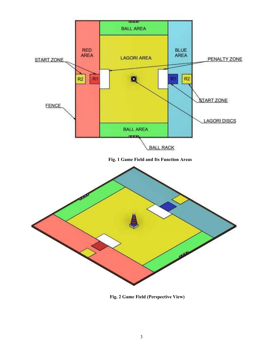

 **Fig. 2 Game Field (Perspective View)**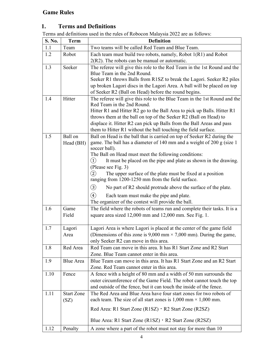## **Game Rules**

## **1. Terms and Definitions**

Terms and definitions used in the rules of Robocon Malaysia 2022 are as follows:

| S. No. | <b>Term</b>       | <b>Definition</b>                                                                                                                             |  |  |
|--------|-------------------|-----------------------------------------------------------------------------------------------------------------------------------------------|--|--|
| 1.1    | Team              | Two teams will be called Red Team and Blue Team.                                                                                              |  |  |
| 1.2    | Robot             | Each team must build two robots, namely, Robot 1(R1) and Robot                                                                                |  |  |
|        |                   | $2(R2)$ . The robots can be manual or automatic.                                                                                              |  |  |
| 1.3    | Seeker            | The referee will give this role to the Red Team in the 1st Round and the                                                                      |  |  |
|        |                   | Blue Team in the 2nd Round.                                                                                                                   |  |  |
|        |                   | Seeker R1 throws Balls from R1SZ to break the Lagori. Seeker R2 piles                                                                         |  |  |
|        |                   | up broken Lagori discs in the Lagori Area. A ball will be placed on top                                                                       |  |  |
|        |                   | of Seeker R2 (Ball on Head) before the round begins.                                                                                          |  |  |
| 1.4    | Hitter            | The referee will give this role to the Blue Team in the 1st Round and the<br>Red Team in the 2nd Round.                                       |  |  |
|        |                   | Hitter R1 and Hitter R2 go to the Ball Area to pick up Balls. Hitter R1                                                                       |  |  |
|        |                   | throws them at the ball on top of the Seeker R2 (Ball on Head) to                                                                             |  |  |
|        |                   | displace it. Hitter R2 can pick up Balls from the Ball Areas and pass                                                                         |  |  |
|        |                   | them to Hitter R1 without the ball touching the field surface.                                                                                |  |  |
| 1.5    | Ball on           | Ball on Head is the ball that is carried on top of Seeker R2 during the                                                                       |  |  |
|        | Head (BH)         | game. The ball has a diameter of 140 mm and a weight of 200 g (size 1                                                                         |  |  |
|        |                   | soccer ball).                                                                                                                                 |  |  |
|        |                   | The Ball on Head must meet the following conditions:                                                                                          |  |  |
|        |                   | It must be placed on the pipe and plate as shown in the drawing.<br>(1)<br>(Please see Fig. 3)                                                |  |  |
|        |                   | $\left( 2\right)$<br>The upper surface of the plate must be fixed at a position                                                               |  |  |
|        |                   | ranging from 1200-1250 mm from the field surface.                                                                                             |  |  |
|        |                   | $\left( 3\right)$<br>No part of R2 should protrude above the surface of the plate.                                                            |  |  |
|        |                   | $\left( 4\right)$                                                                                                                             |  |  |
|        |                   | Each team must make the pipe and plate.<br>The organizer of the contest will provide the ball.                                                |  |  |
| 1.6    | Game              | The field where the robots of teams run and complete their tasks. It is a                                                                     |  |  |
|        | Field             | square area sized 12,000 mm and 12,000 mm. See Fig. 1.                                                                                        |  |  |
|        |                   |                                                                                                                                               |  |  |
| 1.7    | Lagori            | Lagori Area is where Lagori is placed at the center of the game field                                                                         |  |  |
|        | Area              | (Dimensions of this zone is 9,000 mm $\times$ 7,000 mm). During the game,                                                                     |  |  |
|        |                   | only Seeker R2 can move in this area.                                                                                                         |  |  |
| 1.8    | Red Area          | Red Team can move in this area. It has R1 Start Zone and R2 Start                                                                             |  |  |
|        |                   | Zone. Blue Team cannot enter in this area.                                                                                                    |  |  |
| 1.9    | Blue Area         | Blue Team can move in this area. It has R1 Start Zone and an R2 Start                                                                         |  |  |
|        |                   | Zone. Red Team cannot enter in this area.                                                                                                     |  |  |
| 1.10   | Fence             | A fence with a height of 80 mm and a width of 50 mm surrounds the                                                                             |  |  |
|        |                   | outer circumference of the Game Field. The robot cannot touch the top                                                                         |  |  |
|        |                   | and outside of the fence, but it can touch the inside of the fence.                                                                           |  |  |
| 1.11   | <b>Start Zone</b> | The Red Area and Blue Area have four start zones for two robots of<br>each team. The size of all start zones is $1,000$ mm $\times$ 1,000 mm. |  |  |
|        | (SZ)              |                                                                                                                                               |  |  |
|        |                   | Red Area: R1 Start Zone (R1SZ) · R2 Start Zone (R2SZ)                                                                                         |  |  |
|        |                   | Blue Area: R1 Start Zone (R1SZ) $\cdot$ R2 Start Zone (R2SZ)                                                                                  |  |  |
|        |                   |                                                                                                                                               |  |  |
| 1.12   | Penalty           | A zone where a part of the robot must not stay for more than 10                                                                               |  |  |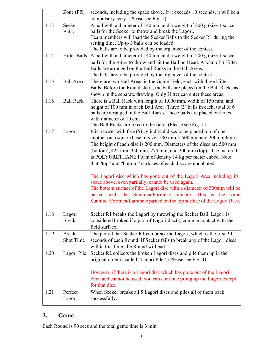|      | Zone (PZ)                        | seconds, including the space above. If it exceeds 10 seconds, it will be a                                                                                                                                                                                                                                                                                                                                                                                                  |
|------|----------------------------------|-----------------------------------------------------------------------------------------------------------------------------------------------------------------------------------------------------------------------------------------------------------------------------------------------------------------------------------------------------------------------------------------------------------------------------------------------------------------------------|
|      |                                  | compulsory retry. (Please see Fig. 1)                                                                                                                                                                                                                                                                                                                                                                                                                                       |
| 1.13 | Seeker                           | A ball with a diameter of 140 mm and a weight of 200 g (size 1 soccer                                                                                                                                                                                                                                                                                                                                                                                                       |
|      | <b>Balls</b>                     | ball) for the Seeker to throw and break the Lagori.                                                                                                                                                                                                                                                                                                                                                                                                                         |
|      |                                  | Team members will load the Seeker Balls to the Seeker R1 during the                                                                                                                                                                                                                                                                                                                                                                                                         |
|      |                                  | setting time. Up to 3 balls can be loaded.                                                                                                                                                                                                                                                                                                                                                                                                                                  |
|      |                                  | The balls are to be provided by the organizer of the contest.                                                                                                                                                                                                                                                                                                                                                                                                               |
| 1.14 |                                  | Hitter Balls $\vert$ A ball with a diameter of 140 mm and a weight of 200 g (size 1 soccer                                                                                                                                                                                                                                                                                                                                                                                  |
|      |                                  | ball) for the Hitter to throw and hit the Ball on Head. A total of 6 Hitter                                                                                                                                                                                                                                                                                                                                                                                                 |
|      |                                  | Balls are arranged on the Ball Racks in the Ball Areas.                                                                                                                                                                                                                                                                                                                                                                                                                     |
|      |                                  | The balls are to be provided by the organizer of the contest.                                                                                                                                                                                                                                                                                                                                                                                                               |
| 1.15 | <b>Ball Area</b>                 | There are two Ball Areas in the Game Field, each with three Hitter                                                                                                                                                                                                                                                                                                                                                                                                          |
|      |                                  | Balls. Before the Round starts, the balls are placed on the Ball Racks as                                                                                                                                                                                                                                                                                                                                                                                                   |
|      |                                  | shown in the separate drawing. Only Hitter can enter these areas.                                                                                                                                                                                                                                                                                                                                                                                                           |
| 1.16 | <b>Ball Rack</b>                 | There is a Ball Rack with length of 1,000 mm, width of 150 mm, and<br>height of 100 mm in each Ball Area. Three (3) balls in each, total of 6<br>balls are arranged in the Ball Racks. Those balls are placed on holes<br>with diameter of 10 cm.                                                                                                                                                                                                                           |
|      |                                  | The Ball Racks are fixed to the field. (Please see Fig. 1)                                                                                                                                                                                                                                                                                                                                                                                                                  |
| 1.17 | Lagori                           | It is a tower with five $(5)$ cylindrical discs to be placed top of one<br>another on a square base of size $(500 \text{ mm} \times 500 \text{ mm} \text{ and } 200 \text{ mm} \text{ high})$ .<br>The height of each disc is 200 mm. Diameters of the discs are 500 mm<br>(bottom), 425 mm, 350 mm, 275 mm, and 200 mm (top). The material<br>is POLYURETHANE Foam of density 14 kg per meter cubed. Note<br>that "top" and "bottom" surfaces of each disc are uncollated. |
|      |                                  | The Lagori disc which has gone out of the Lagori Area including its<br>space above, even partially, cannot be used again.<br>The bottom surface of the Lagori disc with a diameter of 500mm will be<br>pasted with the Sunmica/Formica/Laminate. This is the<br>same<br>Sunmica/Formica/Laminate pasted on the top surface of the Lagori Base.                                                                                                                              |
| 1.18 | Lagori<br><b>Break</b>           | Seeker R1 breaks the Lagori by throwing the Seeker Ball. Lagori is<br>considered broken if a part of Lagori disc(s) come in contact with the                                                                                                                                                                                                                                                                                                                                |
|      |                                  | field surface.                                                                                                                                                                                                                                                                                                                                                                                                                                                              |
| 1.19 | <b>Break</b><br><b>Shot Time</b> | The period that Seeker R1 can break the Lagori, which is the first 30<br>seconds of each Round. If Seeker fails to break any of the Lagori discs<br>within this time, the Round will end.                                                                                                                                                                                                                                                                                   |
| 1.20 | Lagori Pile                      | Seeker R2 collects the broken Lagori discs and pile them up in the                                                                                                                                                                                                                                                                                                                                                                                                          |
|      |                                  | original order is called "Lagori Pile". (Please see Fig. 4)                                                                                                                                                                                                                                                                                                                                                                                                                 |
|      |                                  | However, if there is a Lagori disc which has gone out of the Lagori                                                                                                                                                                                                                                                                                                                                                                                                         |
|      |                                  | Area and cannot be used, you can continue piling up the Lagori except<br>for that disc.                                                                                                                                                                                                                                                                                                                                                                                     |
| 1.21 | Perfect                          | When Seeker breaks all 5 Lagori discs and piles all of them back                                                                                                                                                                                                                                                                                                                                                                                                            |
|      |                                  |                                                                                                                                                                                                                                                                                                                                                                                                                                                                             |
|      | Lagori                           | successfully.                                                                                                                                                                                                                                                                                                                                                                                                                                                               |

## **2. Game**

Each Round is 90 secs and the total game time is 3 min.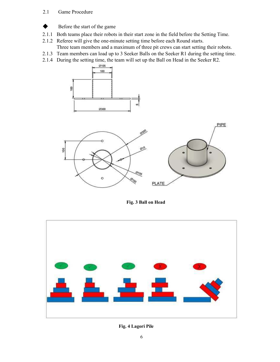#### 2.1 Game Procedure



- Before the start of the game
- 2.1.1 Both teams place their robots in their start zone in the field before the Setting Time.
- 2.1.2 Referee will give the one-minute setting time before each Round starts.
- Three team members and a maximum of three pit crews can start setting their robots.
- 2.1.3 Team members can load up to 3 Seeker Balls on the Seeker R1 during the setting time.
- 2.1.4 During the setting time, the team will set up the Ball on Head in the Seeker R2.





 **Fig. 3 Ball on Head** 



**Fig. 4 Lagori Pile**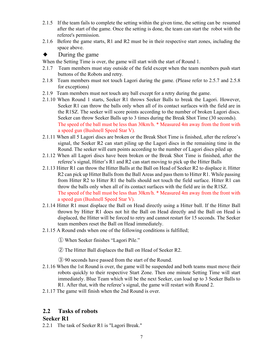- 2.1.5 If the team fails to complete the setting within the given time, the setting can be resumed after the start of the game. Once the setting is done, the team can start the robot with the referee's permission.
- 2.1.6 Before the game starts, R1 and R2 must be in their respective start zones, including the space above.

#### $\blacklozenge$  During the game

When the Setting Time is over, the game will start with the start of Round 1.

- 2.1.7 Team members must stay outside of the field except when the team members push start buttons of the Robots and retry.
- 2.1.8 Team members must not touch Lagori during the game. (Please refer to 2.5.7 and 2.5.8 for exceptions)
- 2.1.9 Team members must not touch any ball except for a retry during the game.
- 2.1.10 When Round 1 starts, Seeker R1 throws Seeker Balls to break the Lagori. However, Seeker R1 can throw the balls only when all of its contact surfaces with the field are in the R1SZ. The seeker will score points according to the number of broken Lagori discs. Seeker can throw Seeker Balls up to 3 times during the Break Shot Time (30 seconds). The speed of the ball must be less than 30km/h. \* Measured 4m away from the front with a speed gun (Bushnell Speed Star V).
- 2.1.11 When all 5 Lagori discs are broken or the Break Shot Time is finished, after the referee's signal, the Seeker R2 can start piling up the Lagori discs in the remaining time in the Round. The seeker will earn points according to the number of Lagori discs piled up.
- 2.1.12 When all Lagori discs have been broken or the Break Shot Time is finished, after the referee's signal, Hitter's R1 and R2 can start moving to pick up the Hitter Balls
- 2.1.13 Hitter R1 can throw the Hitter Balls at the Ball on Head of Seeker R2 to displace it. Hitter R2 can pick up Hitter Balls from the Ball Areas and pass them to Hitter R1. While passing from Hitter R2 to Hitter R1 the balls should not touch the field surface. Hitter R1 can throw the balls only when all of its contact surfaces with the field are in the R1SZ. The speed of the ball must be less than 30km/h. \* Measured 4m away from the front with a speed gun (Bushnell Speed Star V).
- 2.1.14 Hitter R1 must displace the Ball on Head directly using a Hitter ball. If the Hitter Ball thrown by Hitter R1 does not hit the Ball on Head directly and the Ball on Head is displaced, the Hitter will be forced to retry and cannot restart for 15 seconds. The Seeker team members reset the Ball on Head immediately.
- 2.1.15 A Round ends when one of the following conditions is fulfilled;
	- ① When Seeker finishes "Lagori Pile."
	- ② The Hitter Ball displaces the Ball on Head of Seeker R2.
	- ③ 90 seconds have passed from the start of the Round.
- 2.1.16 When the 1st Round is over, the game will be suspended and both teams must move their robots quickly to their respective Start Zone. Then one minute Setting Time will start immediately. Blue Team which will be the next Seeker, can load up to 3 Seeker Balls to R1. After that, with the referee's signal, the game will restart with Round 2.
- 2.1.17 The game will finish when the 2nd Round is over.

## **2.2 Tasks of robots**

#### **Seeker R1**

2.2.1 The task of Seeker R1 is "Lagori Break."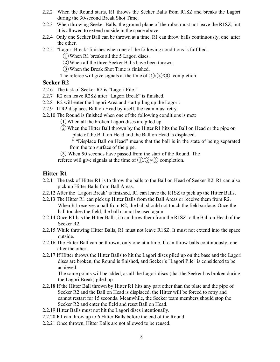- 2.2.2 When the Round starts, R1 throws the Seeker Balls from R1SZ and breaks the Lagori during the 30-second Break Shot Time.
- 2.2.3 When throwing Seeker Balls, the ground plane of the robot must not leave the R1SZ, but it is allowed to extend outside in the space above.
- 2.2.4 Only one Seeker Ball can be thrown at a time. R1 can throw balls continuously, one after the other.
- 2.2.5 "Lagori Break' finishes when one of the following conditions is fulfilled.
	- $(1)$  When R1 breaks all the 5 Lagori discs.
	- ②When all the three Seeker Balls have been thrown.
	- ③When the Break Shot Time is finished.
	- The referee will give signals at the time of  $(1)/(2)/(3)$  completion.

#### **Seeker R2**

- 2.2.6 The task of Seeker R2 is "Lagori Pile."
- 2.2.7 R2 can leave R2SZ after "Lagori Break" is finished.
- 2.2.8 R2 will enter the Lagori Area and start piling up the Lagori.
- 2.2.9 If R2 displaces Ball on Head by itself, the team must retry.
- 2.2.10 The Round is finished when one of the following conditions is met:
	- ①When all the broken Lagori discs are piled up.
	- ②When the Hitter Ball thrown by the Hitter R1 hits the Ball on Head or the pipe or plate of the Ball on Head and the Ball on Head is displaced.

\* "Displace Ball on Head" means that the ball is in the state of being separated from the top surface of the pipe.

③ When 90 seconds have passed from the start of the Round. The

referee will give signals at the time of  $(1)/(2)/(3)$  completion.

## **Hitter R1**

- 2.2.11 The task of Hitter R1 is to throw the balls to the Ball on Head of Seeker R2. R1 can also pick up Hitter Balls from Ball Areas.
- 2.2.12 After the 'Lagori Break' is finished, R1 can leave the R1SZ to pick up the Hitter Balls.
- 2.2.13 The Hitter R1 can pick up Hitter Balls from the Ball Areas or receive them from R2. When R1 receives a ball from R2, the ball should not touch the field surface. Once the ball touches the field, the ball cannot be used again.
- 2.2.14 Once R1 has the Hitter Balls, it can throw them from the R1SZ to the Ball on Head of the Seeker R2.
- 2.2.15 While throwing Hitter Balls, R1 must not leave R1SZ. It must not extend into the space outside.
- 2.2.16 The Hitter Ball can be thrown, only one at a time. It can throw balls continuously, one after the other.
- 2.2.17 If Hitter throws the Hitter Balls to hit the Lagori discs piled up on the base and the Lagori discs are broken, the Round is finished, and Seeker's "Lagori Pile" is considered to be achieved.

 The same points will be added, as all the Lagori discs (that the Seeker has broken during the Lagori Break) piled up.

- 2.2.18 If the Hitter Ball thrown by Hitter R1 hits any part other than the plate and the pipe of Seeker R2 and the Ball on Head is displaced, the Hitter will be forced to retry and cannot restart for 15 seconds. Meanwhile, the Seeker team members should stop the Seeker R2 and enter the field and reset Ball on Head.
- 2.2.19 Hitter Balls must not hit the Lagori discs intentionally.
- 2.2.20 R1 can throw up to 6 Hitter Balls before the end of the Round.
- 2.2.21 Once thrown, Hitter Balls are not allowed to be reused.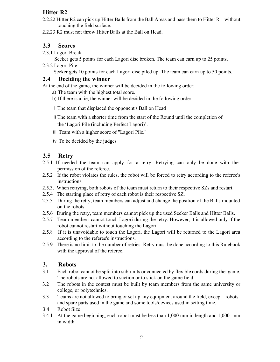## **Hitter R2**

- 2.2.22 Hitter R2 can pick up Hitter Balls from the Ball Areas and pass them to Hitter R1 without touching the field surface.
- 2.2.23 R2 must not throw Hitter Balls at the Ball on Head.

## **2.3 Scores**

2.3.1 Lagori Break

Seeker gets 5 points for each Lagori disc broken. The team can earn up to 25 points.

2.3.2 Lagori Pile

Seeker gets 10 points for each Lagori disc piled up. The team can earn up to 50 points.

## **2.4 Deciding the winner**

At the end of the game, the winner will be decided in the following order:

- a) The team with the highest total score.
- b) If there is a tie, the winner will be decided in the following order:
- ⅰThe team that displaced the opponent's Ball on Head
- ⅱThe team with a shorter time from the start of the Round until the completion of the 'Lagori Pile (including Perfect Lagori)'.
- ⅲ Team with a higher score of "Lagori Pile."
- ⅳ To be decided by the judges

## **2.5 Retry**

- 2.5.1 If needed the team can apply for a retry. Retrying can only be done with the permission of the referee.
- 2.5.2 If the robot violates the rules, the robot will be forced to retry according to the referee's instructions.
- 2.5.3. When retrying, both robots of the team must return to their respective SZs and restart.
- 2.5.4 The starting place of retry of each robot is their respective SZ.
- 2.5.5 During the retry, team members can adjust and change the position of the Balls mounted on the robots.
- 2.5.6 During the retry, team members cannot pick up the used Seeker Balls and Hitter Balls.
- 2.5.7 Team members cannot touch Lagori during the retry. However, it is allowed only if the robot cannot restart without touching the Lagori.
- 2.5.8 If it is unavoidable to touch the Lagori, the Lagori will be returned to the Lagori area according to the referee's instructions.
- 2.5.9 There is no limit to the number of retries. Retry must be done according to this Rulebook with the approval of the referee.

## **3. Robots**

- 3.1 Each robot cannot be split into sub-units or connected by flexible cords during the game. The robots are not allowed to suction or to stick on the game field.
- 3.2 The robots in the contest must be built by team members from the same university or college, or polytechnics.
- 3.3 Teams are not allowed to bring or set up any equipment around the field, except robots and spare parts used in the game and some tools/devices used in setting time.
- 3.4 Robot Size
- 3.4.1 At the game beginning, each robot must be less than 1,000 mm in length and 1,000 mm in width.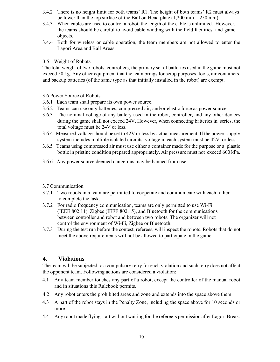- 3.4.2 There is no height limit for both teams' R1. The height of both teams' R2 must always be lower than the top surface of the Ball on Head plate (1,200 mm-1,250 mm).
- 3.4.3 When cables are used to control a robot, the length of the cable is unlimited. However, the teams should be careful to avoid cable winding with the field facilities and game objects.
- 3.4.4 Both for wireless or cable operation, the team members are not allowed to enter the Lagori Area and Ball Areas.

#### 3.5 Weight of Robots

The total weight of two robots, controllers, the primary set of batteries used in the game must not exceed 50 kg. Any other equipment that the team brings for setup purposes, tools, air containers, and backup batteries (of the same type as that initially installed in the robot) are exempt.

#### 3.6 Power Source of Robots

- 3.6.1 Each team shall prepare its own power source.
- 3.6.2 Teams can use only batteries, compressed air, and/or elastic force as power source.
- 3.6.3 The nominal voltage of any battery used in the robot, controller, and any other devices during the game shall not exceed 24V. However, when connecting batteries in series, the total voltage must be 24V or less.
- 3.6.4 Measured voltage should be set to 42V or less by actual measurement. If the power supply system includes multiple isolated circuits, voltage in each system must be 42V or less.
- 3.6.5 Teams using compressed air must use either a container made for the purpose or a plastic bottle in pristine condition prepared appropriately. Air pressure must not exceed 600 kPa.
- 3.6.6 Any power source deemed dangerous may be banned from use.

#### 3.7 Communication

- 3.7.1 Two robots in a team are permitted to cooperate and communicate with each other to complete the task.
- 3.7.2 For radio frequency communication, teams are only permitted to use Wi-Fi (IEEE 802.11), Zigbee (IEEE 802.15), and Bluetooth for the communications between controller and robot and between two robots. The organizer will not control the environment of Wi-Fi, Zigbee or Bluetooth.
- 3.7.3 During the test run before the contest, referees, will inspect the robots. Robots that do not meet the above requirements will not be allowed to participate in the game.

## **4. Violations**

The team will be subjected to a compulsory retry for each violation and such retry does not affect the opponent team. Following actions are considered a violation:

- 4.1 Any team member touches any part of a robot, except the controller of the manual robot and in situations this Rulebook permits.
- 4.2 Any robot enters the prohibited areas and zone and extends into the space above them.
- 4.3 A part of the robot stays in the Penalty Zone, including the space above for 10 seconds or more.
- 4.4 Any robot made flying start without waiting for the referee's permission after Lagori Break.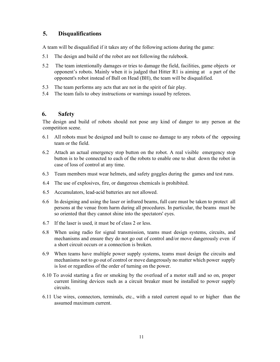## **5. Disqualifications**

A team will be disqualified if it takes any of the following actions during the game:

- 5.1 The design and build of the robot are not following the rulebook.
- 5.2 The team intentionally damages or tries to damage the field, facilities, game objects or opponent's robots. Mainly when it is judged that Hitter R1 is aiming at a part of the opponent's robot instead of Ball on Head (BH), the team will be disqualified.
- 5.3 The team performs any acts that are not in the spirit of fair play.
- 5.4 The team fails to obey instructions or warnings issued by referees.

## **6. Safety**

The design and build of robots should not pose any kind of danger to any person at the competition scene.

- 6.1 All robots must be designed and built to cause no damage to any robots of the opposing team or the field.
- 6.2 Attach an actual emergency stop button on the robot. A real visible emergency stop button is to be connected to each of the robots to enable one to shut down the robot in case of loss of control at any time.
- 6.3 Team members must wear helmets, and safety goggles during the games and test runs.
- 6.4 The use of explosives, fire, or dangerous chemicals is prohibited.
- 6.5 Accumulators, lead-acid batteries are not allowed.
- 6.6 In designing and using the laser or infrared beams, full care must be taken to protect all persons at the venue from harm during all procedures. In particular, the beams must be so oriented that they cannot shine into the spectators' eyes.
- 6.7 If the laser is used, it must be of class 2 or less.
- 6.8 When using radio for signal transmission, teams must design systems, circuits, and mechanisms and ensure they do not go out of control and/or move dangerously even if a short circuit occurs or a connection is broken.
- 6.9 When teams have multiple power supply systems, teams must design the circuits and mechanisms not to go out of control or move dangerously no matter which power supply is lost or regardless of the order of turning on the power.
- 6.10 To avoid starting a fire or smoking by the overload of a motor stall and so on, proper current limiting devices such as a circuit breaker must be installed to power supply circuits.
- 6.11 Use wires, connectors, terminals, etc., with a rated current equal to or higher than the assumed maximum current.